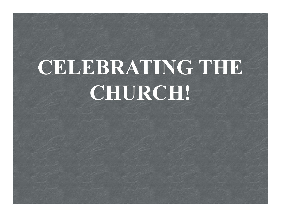# CELEBRATING THE CHURCH!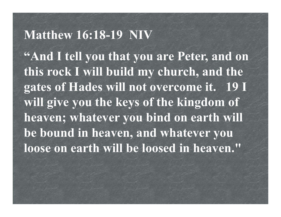#### Matthew 16:18-19 NIV

"And I tell you that you are Peter, and on this rock I will build my church, and the gates of Hades will not overcome it. 19 I will give you the keys of the kingdom of heaven; whatever you bind on earth will be bound in heaven, and whatever you loose on earth will be loosed in heaven."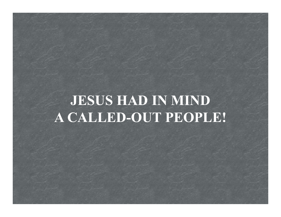# JESUS HAD IN MIND A CALLED-OUT PEOPLE!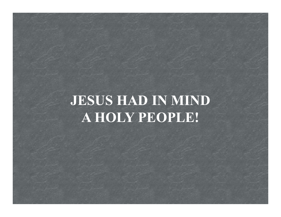# JESUS HAD IN MIND A HOLY PEOPLE!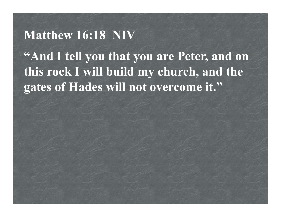# Matthew 16:18 NIV "And I tell you that you are Peter, and on this rock I will build my church, and the gates of Hades will not overcome it."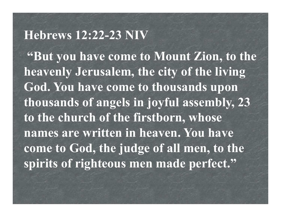#### Hebrews 12:22-23 NIV

"But you have come to Mount Zion, to the heavenly Jerusalem, the city of the living God. You have come to thousands upon thousands of angels in joyful assembly, 23 to the church of the firstborn, whose names are written in heaven. You have come to God, the judge of all men, to the spirits of righteous men made perfect."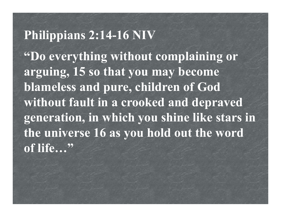#### Philippians 2:14-16 NIV

"Do everything without complaining or arguing, 15 so that you may become blameless and pure, children of God without fault in a crooked and depraved generation, in which you shine like stars in the universe 16 as you hold out the word of life..."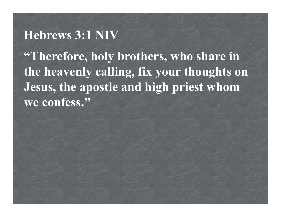#### Hebrews 3:1 NIV

"Therefore, holy brothers, who share in the heavenly calling, fix your thoughts on Jesus, the apostle and high priest whom we confess."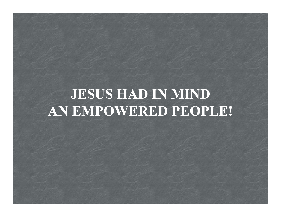# JESUS HAD IN MIND AN EMPOWERED PEOPLE!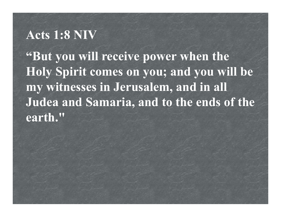#### Acts 1:8 NIV

"But you will receive power when the Holy Spirit comes on you; and you will be my witnesses in Jerusalem, and in all Judea and Samaria, and to the ends of the earth."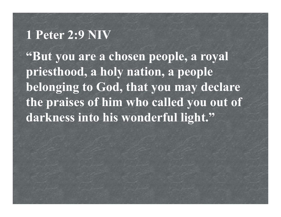#### 1 Peter 2:9 NIV

"But you are a chosen people, a royal priesthood, a holy nation, a people belonging to God, that you may declare the praises of him who called you out of darkness into his wonderful light."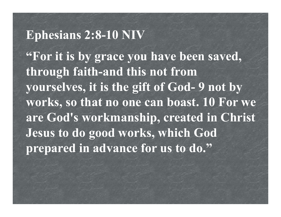### Ephesians 2:8-10 NIV

"For it is by grace you have been saved, through faith-and this not from Ephesians 2:8-10 NIV<br>"For it is by grace you have been saved,<br>through faith-and this not from<br>yourselves, it is the gift of God- 9 not by<br>works, so that no one can boast. 10 For we works, so that no one can boast. 10 For we are God's workmanship, created in Christ Jesus to do good works, which God prepared in advance for us to do."